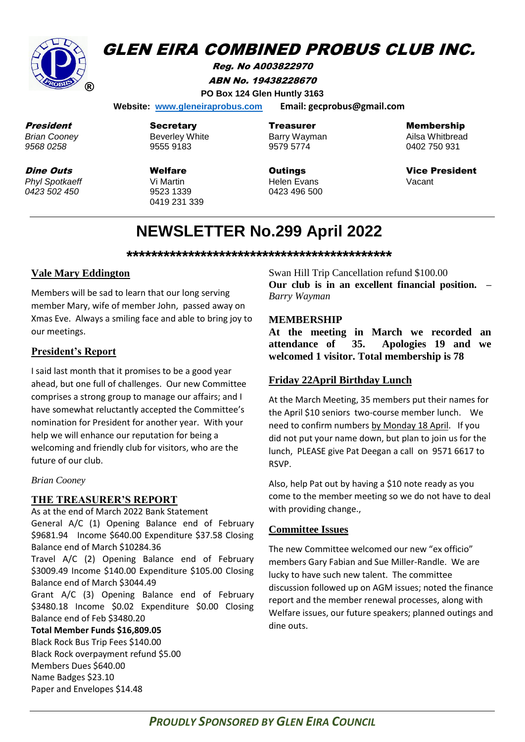

# **GLEN EIRA COMBINED PROBUS CLUB INC.**

Reg. No A003822970 ABN No. 19438228670 **PO Box 124 Glen Huntly 3163**

 **Website: [www.gleneiraprobus.com](http://www.gleneiraprobus.com/) Email: gecprobus@gmail.com**

President *Brian Cooney 9568 0258*

Dine Outs *Phyl Spotkaeff 0423 502 450*

**Secretary** Beverley White 9555 9183

Welfare Vi Martin 9523 1339 0419 231 339 Treasurer Barry Wayman 9579 5774

**Outings** Helen Evans 0423 496 500 Membership

Ailsa Whitbread 0402 750 931

Vice President Vacant

# **NEWSLETTER No.299 April 2022**

**\*\*\*\*\*\*\*\*\*\*\*\*\*\*\*\*\*\*\*\*\*\*\*\*\*\*\*\*\*\*\*\*\*\*\*\*\*\*\*\*\*\*\***

### **Vale Mary Eddington**

Members will be sad to learn that our long serving member Mary, wife of member John, passed away on Xmas Eve. Always a smiling face and able to bring joy to our meetings.

### **President's Report**

I said last month that it promises to be a good year ahead, but one full of challenges. Our new Committee comprises a strong group to manage our affairs; and I have somewhat reluctantly accepted the Committee's nomination for President for another year. With your help we will enhance our reputation for being a welcoming and friendly club for visitors, who are the future of our club.

#### *Brian Cooney*

#### **THE TREASURER'S REPORT**

As at the end of March 2022 Bank Statement General A/C (1) Opening Balance end of February \$9681.94 Income \$640.00 Expenditure \$37.58 Closing Balance end of March \$10284.36 Travel A/C (2) Opening Balance end of February \$3009.49 Income \$140.00 Expenditure \$105.00 Closing Balance end of March \$3044.49 Grant A/C (3) Opening Balance end of February \$3480.18 Income \$0.02 Expenditure \$0.00 Closing Balance end of Feb \$3480.20 **Total Member Funds \$16,809.05**

Black Rock Bus Trip Fees \$140.00 Black Rock overpayment refund \$5.00 Members Dues \$640.00 Name Badges \$23.10 Paper and Envelopes \$14.48

Swan Hill Trip Cancellation refund \$100.00 **Our club is in an excellent financial position. –** *Barry Wayman*

#### **MEMBERSHIP**

**At the meeting in March we recorded an attendance of 35. Apologies 19 and we welcomed 1 visitor. Total membership is 78**

#### **Friday 22April Birthday Lunch**

At the March Meeting, 35 members put their names for the April \$10 seniors two-course member lunch. We need to confirm numbers by Monday 18 April. If you did not put your name down, but plan to join us for the lunch, PLEASE give Pat Deegan a call on 9571 6617 to RSVP.

Also, help Pat out by having a \$10 note ready as you come to the member meeting so we do not have to deal with providing change.,

#### **Committee Issues**

The new Committee welcomed our new "ex officio" members Gary Fabian and Sue Miller-Randle. We are lucky to have such new talent. The committee discussion followed up on AGM issues; noted the finance report and the member renewal processes, along with Welfare issues, our future speakers; planned outings and dine outs.